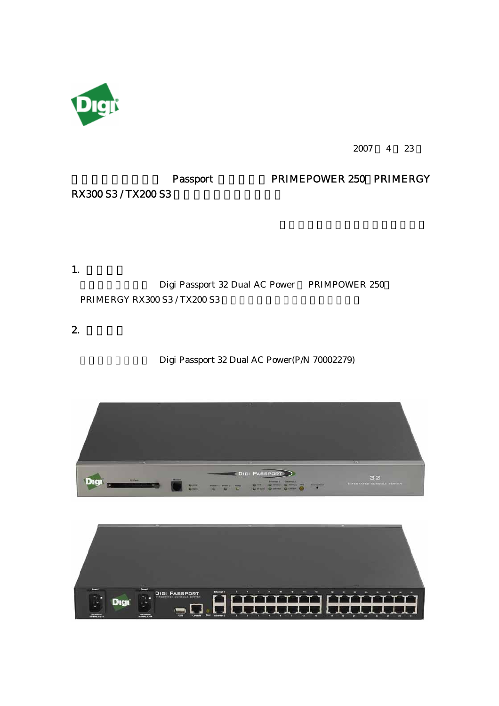

2007 4 23

# Passport PRIMEPOWER 250 PRIMERGY

RX300 S3 / TX200 S3

#### 1. 検証内容

Digi Passport 32 Dual AC Power PRIMPOWER 250 PRIMERGY RX300 S3 / TX200 S3

# $2.$

### Digi Passport 32 Dual AC Power(P/N 70002279)



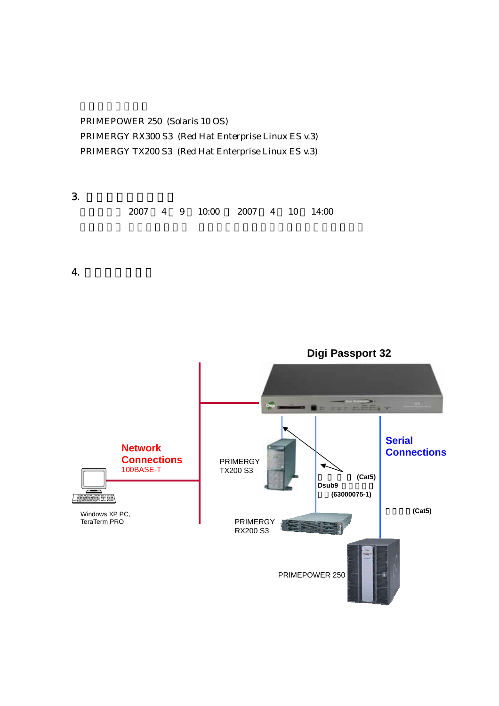PRIMEPOWER 250 (Solaris 10 OS) PRIMERGY RX300 S3 (Red Hat Enterprise Linux ES v.3) PRIMERGY TX200 S3 (Red Hat Enterprise Linux ES v.3)

 $3.$ 検証日時: 2007 4 9 10:00 2007 4 10 14:00

4. 検証実施構成図

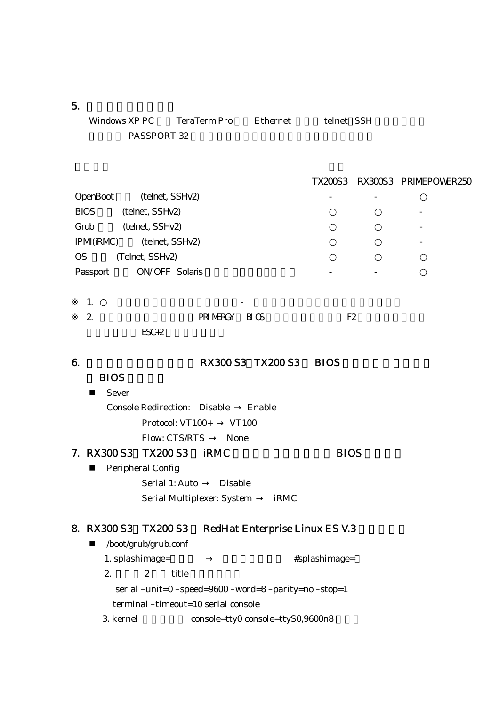$5.$ 

| Windows XP PC | TeraTerm Pro | Ethernet | telnet SSH |
|---------------|--------------|----------|------------|
| PASSPORT 32   |              |          |            |

TX200S3 RX300S3 PRIMEPOWER250

| OpenBoot         | (telnet, SSHv2) |
|------------------|-----------------|
| BIOS             | (telnet, SSHv2) |
| Grub             | (telnet, SSHv2) |
| <b>IPM(iRMC)</b> | (telnet, SSHv2) |
| OS               | (Telnet, SSHv2) |
| Passport         | ON/OFF Solaris  |

| . . |         | $\overline{\phantom{0}}$ |           |  |
|-----|---------|--------------------------|-----------|--|
| ∼   |         | PRIMERGY BIOS            | Е£<br>⊥'ົ |  |
|     | $FGC+2$ |                          |           |  |

## 6. 200 S3 TX200 S3 BIOS

# **BIOS**

■ Sever Console Redirection: Disable Enable Protocol: VT100+ VT100 Flow: CTS/RTS None

## 7. RX300 S3 TX200 S3 RMC BIOS **Peripheral Config**

Serial 1: Auto Disable Serial Multiplexer: System iRMC

## 8. RX300 S3 TX200 S3 RedHat Enterprise Linux ES V.3

 /boot/grub/grub.conf 1. splashimage=  $\qquad \qquad \qquad \qquad \qquad \text{\#splash image=}$ 2.  $2$  title serial –unit=0 –speed=9600 –word=8 –parity=no –stop=1 terminal –timeout=10 serial console 3. kernel console=tty0 console=ttyS0,9600n8